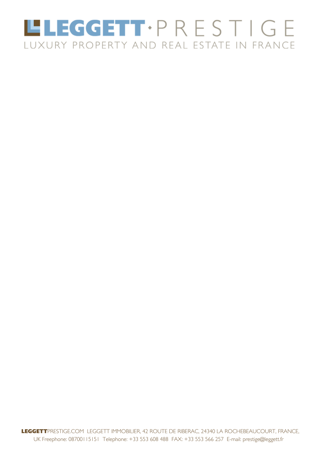# LLEGGETT.PRESTIGE LUXURY PROPERTY AND REAL ESTATE IN FRANCE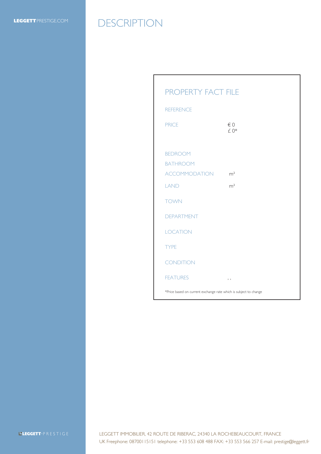### LEGGETTPRESTIGE.COM DESCRIPTION

#### PROPERTY FACT FILE

| <b>REFERENCE</b>                                                 |                |
|------------------------------------------------------------------|----------------|
| <b>PRICE</b>                                                     | € 0<br>£0*     |
| <b>BEDROOM</b><br><b>BATHROOM</b>                                |                |
| ACCOMMODATION                                                    | m <sup>2</sup> |
| <b>LAND</b>                                                      | m <sup>2</sup> |
| <b>TOWN</b>                                                      |                |
| <b>DEPARTMENT</b>                                                |                |
| <b>LOCATION</b>                                                  |                |
| <b>TYPE</b>                                                      |                |
| <b>CONDITION</b>                                                 |                |
| <b>FEATURES</b>                                                  | $, \, ,$       |
| *Price based on current exchange rate which is subject to change |                |

**L'EGGETT**·PRESTIGE

LEGGETT IMMOBILIER, 42 ROUTE DE RIBERAC, 24340 LA ROCHEBEAUCOURT, FRANCE UK Freephone: 08700115151 telephone: +33 553 608 488 FAX: +33 553 566 257 E-mail: prestige@leggett.fr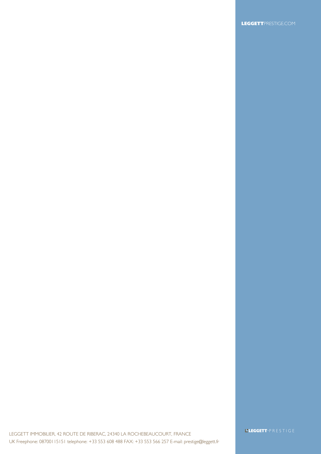LEGGETT IMMOBILIER, 42 ROUTE DE RIBERAC, 24340 LA ROCHEBEAUCOURT, FRANCE UK Freephone: 08700115151 telephone: +33 553 608 488 FAX: +33 553 566 257 E-mail: prestige@leggett.fr **L'EGGETT**·PRESTIGE